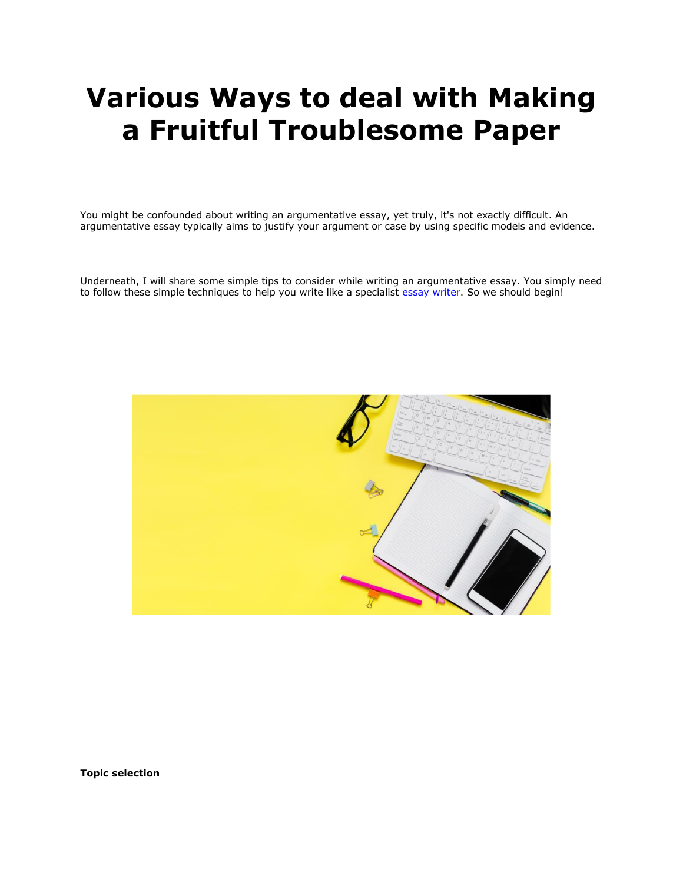# **Various Ways to deal with Making a Fruitful Troublesome Paper**

You might be confounded about writing an argumentative essay, yet truly, it's not exactly difficult. An argumentative essay typically aims to justify your argument or case by using specific models and evidence.

Underneath, I will share some simple tips to consider while writing an argumentative essay. You simply need to follow these simple techniques to help you write like a specialist [essay writer.](https://youressaywriter.net/) So we should begin!



**Topic selection**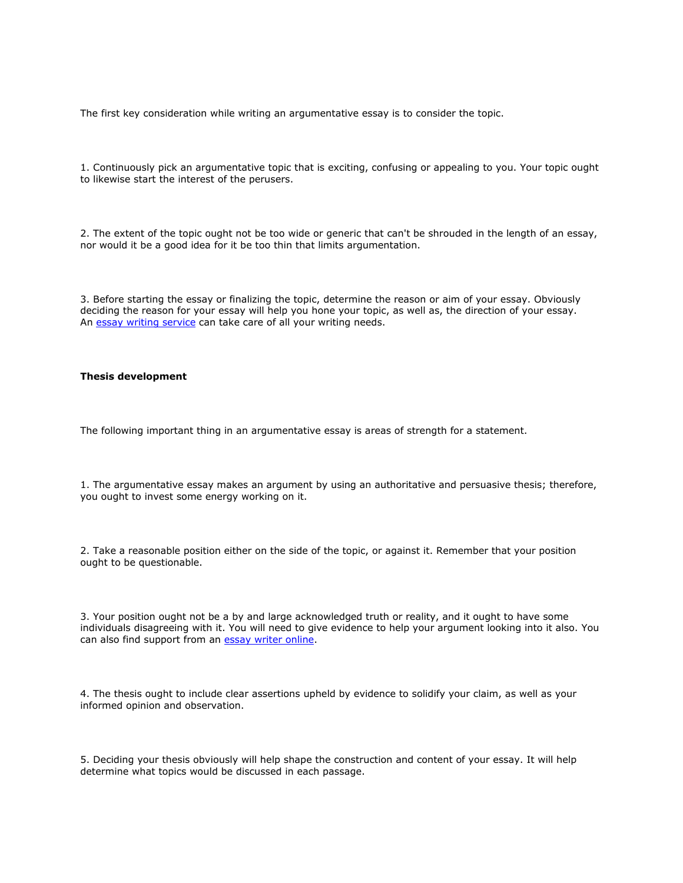The first key consideration while writing an argumentative essay is to consider the topic.

1. Continuously pick an argumentative topic that is exciting, confusing or appealing to you. Your topic ought to likewise start the interest of the perusers.

2. The extent of the topic ought not be too wide or generic that can't be shrouded in the length of an essay, nor would it be a good idea for it be too thin that limits argumentation.

3. Before starting the essay or finalizing the topic, determine the reason or aim of your essay. Obviously deciding the reason for your essay will help you hone your topic, as well as, the direction of your essay. An **[essay writing service](https://youressaywriter.net/)** can take care of all your writing needs.

# **Thesis development**

The following important thing in an argumentative essay is areas of strength for a statement.

1. The argumentative essay makes an argument by using an authoritative and persuasive thesis; therefore, you ought to invest some energy working on it.

2. Take a reasonable position either on the side of the topic, or against it. Remember that your position ought to be questionable.

3. Your position ought not be a by and large acknowledged truth or reality, and it ought to have some individuals disagreeing with it. You will need to give evidence to help your argument looking into it also. You can also find support from an [essay writer online.](https://youressaywriter.net/)

4. The thesis ought to include clear assertions upheld by evidence to solidify your claim, as well as your informed opinion and observation.

5. Deciding your thesis obviously will help shape the construction and content of your essay. It will help determine what topics would be discussed in each passage.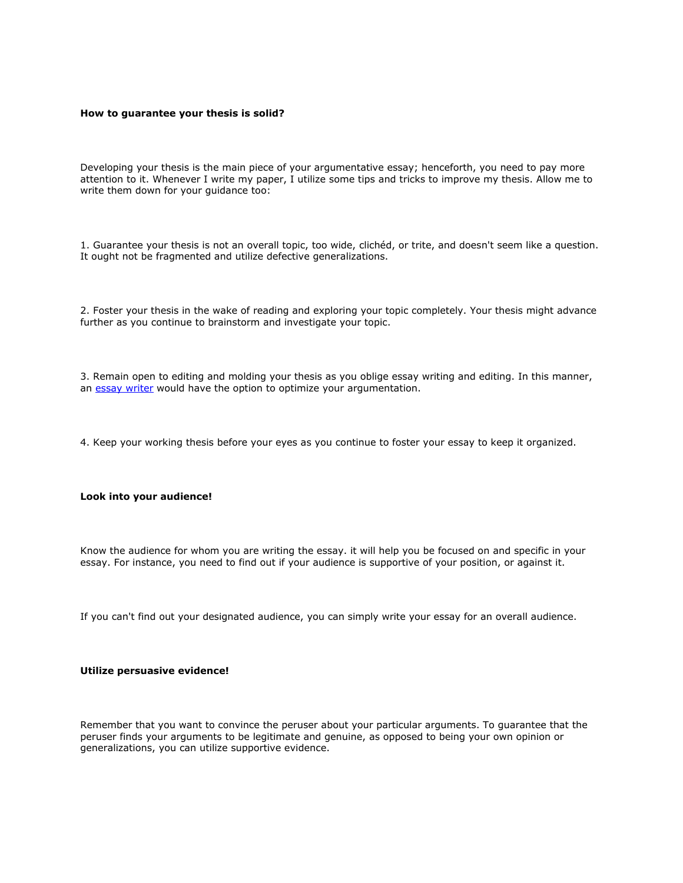#### **How to guarantee your thesis is solid?**

Developing your thesis is the main piece of your argumentative essay; henceforth, you need to pay more attention to it. Whenever I write my paper, I utilize some tips and tricks to improve my thesis. Allow me to write them down for your guidance too:

1. Guarantee your thesis is not an overall topic, too wide, clichéd, or trite, and doesn't seem like a question. It ought not be fragmented and utilize defective generalizations.

2. Foster your thesis in the wake of reading and exploring your topic completely. Your thesis might advance further as you continue to brainstorm and investigate your topic.

3. Remain open to editing and molding your thesis as you oblige essay writing and editing. In this manner, an [essay writer](https://www.myperfectwords.com/) would have the option to optimize your argumentation.

4. Keep your working thesis before your eyes as you continue to foster your essay to keep it organized.

# **Look into your audience!**

Know the audience for whom you are writing the essay. it will help you be focused on and specific in your essay. For instance, you need to find out if your audience is supportive of your position, or against it.

If you can't find out your designated audience, you can simply write your essay for an overall audience.

#### **Utilize persuasive evidence!**

Remember that you want to convince the peruser about your particular arguments. To guarantee that the peruser finds your arguments to be legitimate and genuine, as opposed to being your own opinion or generalizations, you can utilize supportive evidence.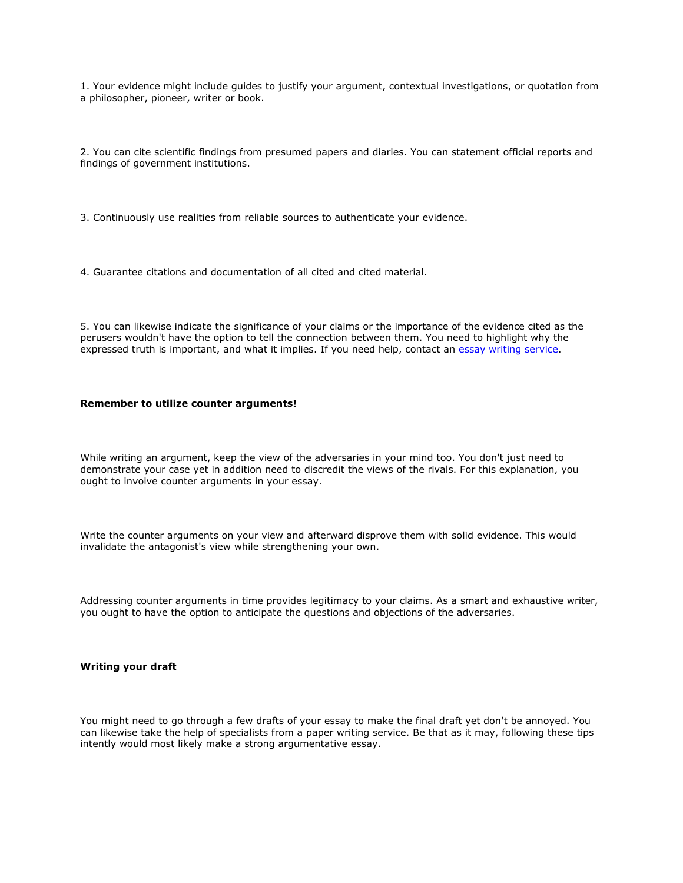1. Your evidence might include guides to justify your argument, contextual investigations, or quotation from a philosopher, pioneer, writer or book.

2. You can cite scientific findings from presumed papers and diaries. You can statement official reports and findings of government institutions.

3. Continuously use realities from reliable sources to authenticate your evidence.

4. Guarantee citations and documentation of all cited and cited material.

5. You can likewise indicate the significance of your claims or the importance of the evidence cited as the perusers wouldn't have the option to tell the connection between them. You need to highlight why the expressed truth is important, and what it implies. If you need help, contact an [essay writing service.](https://www.myperfectwords.com/)

# **Remember to utilize counter arguments!**

While writing an argument, keep the view of the adversaries in your mind too. You don't just need to demonstrate your case yet in addition need to discredit the views of the rivals. For this explanation, you ought to involve counter arguments in your essay.

Write the counter arguments on your view and afterward disprove them with solid evidence. This would invalidate the antagonist's view while strengthening your own.

Addressing counter arguments in time provides legitimacy to your claims. As a smart and exhaustive writer, you ought to have the option to anticipate the questions and objections of the adversaries.

### **Writing your draft**

You might need to go through a few drafts of your essay to make the final draft yet don't be annoyed. You can likewise take the help of specialists from a paper writing service. Be that as it may, following these tips intently would most likely make a strong argumentative essay.